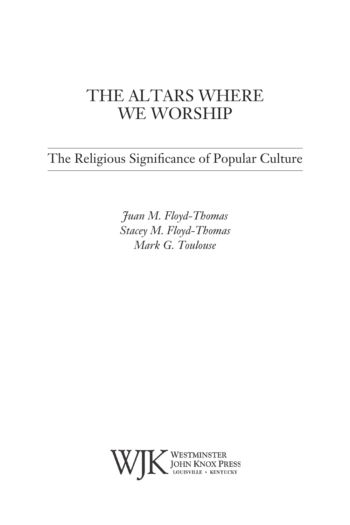## THE ALTARS WHERE WE WORSHIP

The Religious Significance of Popular Culture

*Juan M. Floyd-Thomas Stacey M. Floyd-Thomas Mark G. Toulouse* 

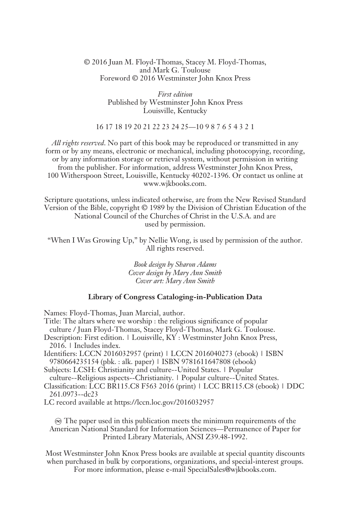#### © 2016 Juan M. Floyd-Thomas, Stacey M. Floyd-Thomas, and Mark G. Toulouse Foreword © 2016 Westminster John Knox Press

*First edition* Published by Westminster John Knox Press Louisville, Kentucky

16 17 18 19 20 21 22 23 24 25—10 9 8 7 6 5 4 3 2 1

*All rights reserved*. No part of this book may be reproduced or transmitted in any form or by any means, electronic or mechanical, including photocopying, recording, or by any information storage or retrieval system, without permission in writing from the publisher. For information, address Westminster John Knox Press, 100 Witherspoon Street, Louisville, Kentucky 40202-1396. Or contact us online at www.wjkbooks.com.

Scripture quotations, unless indicated otherwise, are from the New Revised Standard Version of the Bible, copyright © 1989 by the Division of Christian Education of the National Council of the Churches of Christ in the U.S.A. and are used by permission.

"When I Was Growing Up," by Nellie Wong, is used by permission of the author. All rights reserved.

> *Book design by Sharon Adams Cover design by Mary Ann Smith Cover art: Mary Ann Smith*

#### **Library of Congress Cataloging-in-Publication Data**

Names: Floyd-Thomas, Juan Marcial, author.

Title: The altars where we worship : the religious significance of popular culture / Juan Floyd-Thomas, Stacey Floyd-Thomas, Mark G. Toulouse.

Description: First edition. | Louisville, KY : Westminster John Knox Press, 2016. | Includes index.

- Identifiers: LCCN 2016032957 (print) | LCCN 2016040273 (ebook) | ISBN 9780664235154 (pbk. : alk. paper) | ISBN 9781611647808 (ebook)
- Subjects: LCSH: Christianity and culture--United States. | Popular culture--Religious aspects--Christianity. | Popular culture--United States.
- Classification: LCC BR115.C8 F563 2016 (print) | LCC BR115.C8 (ebook) | DDC 261.0973--dc23

LC record available at https://lccn.loc.gov/2016032957

The paper used in this publication meets the minimum requirements of the American National Standard for Information Sciences—Permanence of Paper for Printed Library Materials, ANSI Z39.48-1992.

Most Westminster John Knox Press books are available at special quantity discounts when purchased in bulk by corporations, organizations, and special-interest groups. For more information, please e-mail SpecialSales@wjkbooks.com.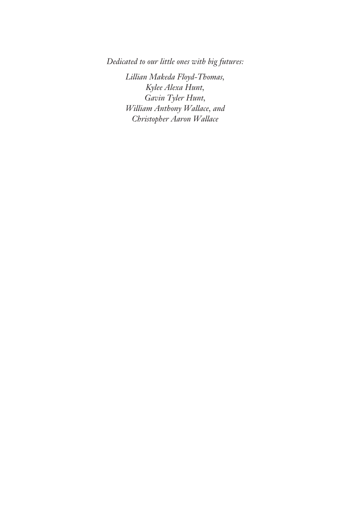*Dedicated to our little ones with big futures:*

*Lillian Makeda Floyd-Thomas, Kylee Alexa Hunt, Gavin Tyler Hunt, William Anthony Wallace, and Christopher Aaron Wallace*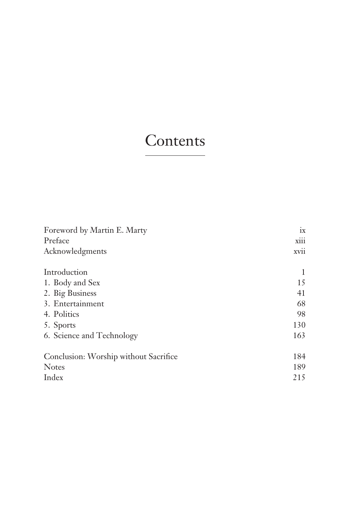# **Contents**

| Foreword by Martin E. Marty           | ix               |
|---------------------------------------|------------------|
| Preface                               | $\cdots$<br>X111 |
| Acknowledgments                       | xvii             |
| Introduction                          | 1                |
| 1. Body and Sex                       | 15               |
| 2. Big Business                       | 41               |
| 3. Entertainment                      | 68               |
| 4. Politics                           | 98               |
| 5. Sports                             | 130              |
| 6. Science and Technology             | 163              |
| Conclusion: Worship without Sacrifice | 184              |
| <b>Notes</b>                          | 189              |
| Index                                 | 215              |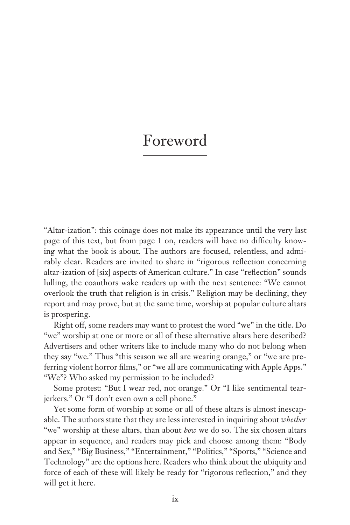### Foreword

"Altar-ization": this coinage does not make its appearance until the very last page of this text, but from page 1 on, readers will have no difficulty knowing what the book is about. The authors are focused, relentless, and admirably clear. Readers are invited to share in "rigorous reflection concerning altar-ization of [six] aspects of American culture." In case "reflection" sounds lulling, the coauthors wake readers up with the next sentence: "We cannot overlook the truth that religion is in crisis." Religion may be declining, they report and may prove, but at the same time, worship at popular culture altars is prospering.

Right off, some readers may want to protest the word "we" in the title. Do "we" worship at one or more or all of these alternative altars here described? Advertisers and other writers like to include many who do not belong when they say "we." Thus "this season we all are wearing orange," or "we are preferring violent horror films," or "we all are communicating with Apple Apps." "We"? Who asked my permission to be included?

Some protest: "But I wear red, not orange." Or "I like sentimental tearjerkers." Or "I don't even own a cell phone."

Yet some form of worship at some or all of these altars is almost inescapable. The authors state that they are less interested in inquiring about *whether* "we" worship at these altars, than about *how* we do so. The six chosen altars appear in sequence, and readers may pick and choose among them: "Body and Sex," "Big Business," "Entertainment," "Politics," "Sports," "Science and Technology" are the options here. Readers who think about the ubiquity and force of each of these will likely be ready for "rigorous reflection," and they will get it here.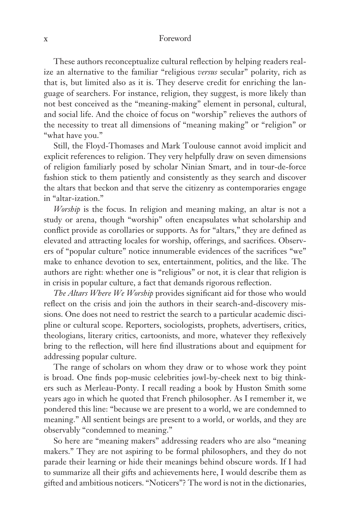### x Foreword

These authors reconceptualize cultural reflection by helping readers realize an alternative to the familiar "religious *versus* secular" polarity, rich as that is, but limited also as it is. They deserve credit for enriching the language of searchers. For instance, religion, they suggest, is more likely than not best conceived as the "meaning-making" element in personal, cultural, and social life. And the choice of focus on "worship" relieves the authors of the necessity to treat all dimensions of "meaning making" or "religion" or "what have you."

Still, the Floyd-Thomases and Mark Toulouse cannot avoid implicit and explicit references to religion. They very helpfully draw on seven dimensions of religion familiarly posed by scholar Ninian Smart, and in tour-de-force fashion stick to them patiently and consistently as they search and discover the altars that beckon and that serve the citizenry as contemporaries engage in "altar-ization."

*Worship* is the focus. In religion and meaning making, an altar is not a study or arena, though "worship" often encapsulates what scholarship and conflict provide as corollaries or supports. As for "altars," they are defined as elevated and attracting locales for worship, offerings, and sacrifices. Observers of "popular culture" notice innumerable evidences of the sacrifices "we" make to enhance devotion to sex, entertainment, politics, and the like. The authors are right: whether one is "religious" or not, it is clear that religion is in crisis in popular culture, a fact that demands rigorous reflection.

*The Altars Where We Worship* provides significant aid for those who would reflect on the crisis and join the authors in their search-and-discovery missions. One does not need to restrict the search to a particular academic discipline or cultural scope. Reporters, sociologists, prophets, advertisers, critics, theologians, literary critics, cartoonists, and more, whatever they reflexively bring to the reflection, will here find illustrations about and equipment for addressing popular culture.

The range of scholars on whom they draw or to whose work they point is broad. One finds pop-music celebrities jowl-by-cheek next to big thinkers such as Merleau-Ponty. I recall reading a book by Huston Smith some years ago in which he quoted that French philosopher. As I remember it, we pondered this line: "because we are present to a world, we are condemned to meaning." All sentient beings are present to a world, or worlds, and they are observably "condemned to meaning."

So here are "meaning makers" addressing readers who are also "meaning makers." They are not aspiring to be formal philosophers, and they do not parade their learning or hide their meanings behind obscure words. If I had to summarize all their gifts and achievements here, I would describe them as gifted and ambitious noticers. "Noticers"? The word is not in the dictionaries,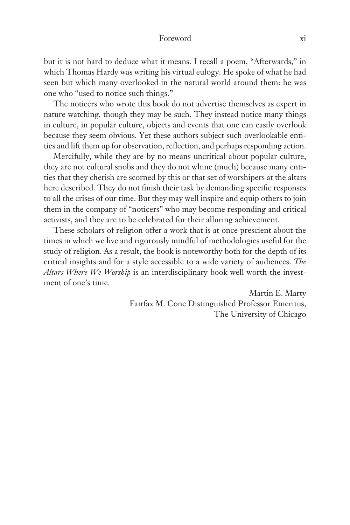### Foreword xi

but it is not hard to deduce what it means. I recall a poem, "Afterwards," in which Thomas Hardy was writing his virtual eulogy. He spoke of what he had seen but which many overlooked in the natural world around them: he was one who "used to notice such things."

The noticers who wrote this book do not advertise themselves as expert in nature watching, though they may be such. They instead notice many things in culture, in popular culture, objects and events that one can easily overlook because they seem obvious. Yet these authors subject such overlookable entities and lift them up for observation, reflection, and perhaps responding action.

Mercifully, while they are by no means uncritical about popular culture, they are not cultural snobs and they do not whine (much) because many entities that they cherish are scorned by this or that set of worshipers at the altars here described. They do not finish their task by demanding specific responses to all the crises of our time. But they may well inspire and equip others to join them in the company of "noticers" who may become responding and critical activists, and they are to be celebrated for their alluring achievement.

These scholars of religion offer a work that is at once prescient about the times in which we live and rigorously mindful of methodologies useful for the study of religion. As a result, the book is noteworthy both for the depth of its critical insights and for a style accessible to a wide variety of audiences. *The Altars Where We Worship* is an interdisciplinary book well worth the investment of one's time.

> Martin E. Marty Fairfax M. Cone Distinguished Professor Emeritus, The University of Chicago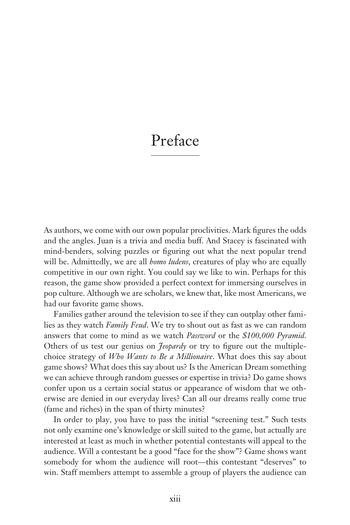### Preface

As authors, we come with our own popular proclivities. Mark figures the odds and the angles. Juan is a trivia and media buff. And Stacey is fascinated with mind-benders, solving puzzles or figuring out what the next popular trend will be. Admittedly, we are all *homo ludens*, creatures of play who are equally competitive in our own right. You could say we like to win. Perhaps for this reason, the game show provided a perfect context for immersing ourselves in pop culture. Although we are scholars, we knew that, like most Americans, we had our favorite game shows.

Families gather around the television to see if they can outplay other families as they watch *Family Feud*. We try to shout out as fast as we can random answers that come to mind as we watch *Password* or the *\$100,000 Pyramid*. Others of us test our genius on *Jeopardy* or try to figure out the multiplechoice strategy of *Who Wants to Be a Millionaire*. What does this say about game shows? What does this say about us? Is the American Dream something we can achieve through random guesses or expertise in trivia? Do game shows confer upon us a certain social status or appearance of wisdom that we otherwise are denied in our everyday lives? Can all our dreams really come true (fame and riches) in the span of thirty minutes?

In order to play, you have to pass the initial "screening test." Such tests not only examine one's knowledge or skill suited to the game, but actually are interested at least as much in whether potential contestants will appeal to the audience. Will a contestant be a good "face for the show"? Game shows want somebody for whom the audience will root—this contestant "deserves" to win. Staff members attempt to assemble a group of players the audience can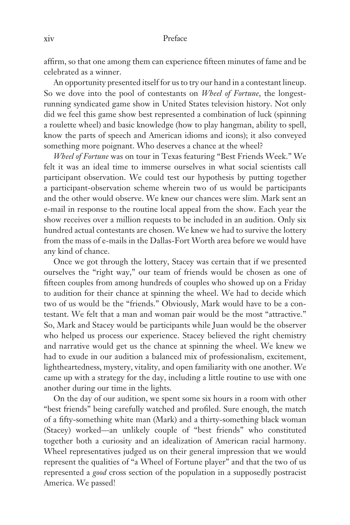### xiv Preface

affirm, so that one among them can experience fifteen minutes of fame and be celebrated as a winner.

An opportunity presented itself for us to try our hand in a contestant lineup. So we dove into the pool of contestants on *Wheel of Fortune*, the longestrunning syndicated game show in United States television history. Not only did we feel this game show best represented a combination of luck (spinning a roulette wheel) and basic knowledge (how to play hangman, ability to spell, know the parts of speech and American idioms and icons); it also conveyed something more poignant. Who deserves a chance at the wheel?

*Wheel of Fortune* was on tour in Texas featuring "Best Friends Week." We felt it was an ideal time to immerse ourselves in what social scientists call participant observation. We could test our hypothesis by putting together a participant-observation scheme wherein two of us would be participants and the other would observe. We knew our chances were slim. Mark sent an e-mail in response to the routine local appeal from the show. Each year the show receives over a million requests to be included in an audition. Only six hundred actual contestants are chosen. We knew we had to survive the lottery from the mass of e-mails in the Dallas-Fort Worth area before we would have any kind of chance.

Once we got through the lottery, Stacey was certain that if we presented ourselves the "right way," our team of friends would be chosen as one of fifteen couples from among hundreds of couples who showed up on a Friday to audition for their chance at spinning the wheel. We had to decide which two of us would be the "friends." Obviously, Mark would have to be a contestant. We felt that a man and woman pair would be the most "attractive." So, Mark and Stacey would be participants while Juan would be the observer who helped us process our experience. Stacey believed the right chemistry and narrative would get us the chance at spinning the wheel. We knew we had to exude in our audition a balanced mix of professionalism, excitement, lightheartedness, mystery, vitality, and open familiarity with one another. We came up with a strategy for the day, including a little routine to use with one another during our time in the lights.

On the day of our audition, we spent some six hours in a room with other "best friends" being carefully watched and profiled. Sure enough, the match of a fifty-something white man (Mark) and a thirty-something black woman (Stacey) worked—an unlikely couple of "best friends" who constituted together both a curiosity and an idealization of American racial harmony. Wheel representatives judged us on their general impression that we would represent the qualities of "a Wheel of Fortune player" and that the two of us represented a *good* cross section of the population in a supposedly postracist America. We passed!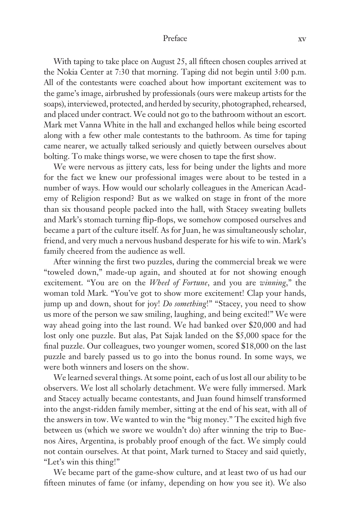### Preface xv

With taping to take place on August 25, all fifteen chosen couples arrived at the Nokia Center at 7:30 that morning. Taping did not begin until 3:00 p.m. All of the contestants were coached about how important excitement was to the game's image, airbrushed by professionals (ours were makeup artists for the soaps), interviewed, protected, and herded by security, photographed, rehearsed, and placed under contract. We could not go to the bathroom without an escort. Mark met Vanna White in the hall and exchanged hellos while being escorted along with a few other male contestants to the bathroom. As time for taping came nearer, we actually talked seriously and quietly between ourselves about bolting. To make things worse, we were chosen to tape the first show.

We were nervous as jittery cats, less for being under the lights and more for the fact we knew our professional images were about to be tested in a number of ways. How would our scholarly colleagues in the American Academy of Religion respond? But as we walked on stage in front of the more than six thousand people packed into the hall, with Stacey sweating bullets and Mark's stomach turning flip-flops, we somehow composed ourselves and became a part of the culture itself. As for Juan, he was simultaneously scholar, friend, and very much a nervous husband desperate for his wife to win. Mark's family cheered from the audience as well.

After winning the first two puzzles, during the commercial break we were "toweled down," made-up again, and shouted at for not showing enough excitement. "You are on the *Wheel of Fortune*, and you are *winning*," the woman told Mark. "You've got to show more excitement! Clap your hands, jump up and down, shout for joy! *Do something*!" "Stacey, you need to show us more of the person we saw smiling, laughing, and being excited!" We were way ahead going into the last round. We had banked over \$20,000 and had lost only one puzzle. But alas, Pat Sajak landed on the \$5,000 space for the final puzzle. Our colleagues, two younger women, scored \$18,000 on the last puzzle and barely passed us to go into the bonus round. In some ways, we were both winners and losers on the show.

We learned several things. At some point, each of us lost all our ability to be observers. We lost all scholarly detachment. We were fully immersed. Mark and Stacey actually became contestants, and Juan found himself transformed into the angst-ridden family member, sitting at the end of his seat, with all of the answers in tow. We wanted to win the "big money." The excited high five between us (which we swore we wouldn't do) after winning the trip to Buenos Aires, Argentina, is probably proof enough of the fact. We simply could not contain ourselves. At that point, Mark turned to Stacey and said quietly, "Let's win this thing!"

We became part of the game-show culture, and at least two of us had our fifteen minutes of fame (or infamy, depending on how you see it). We also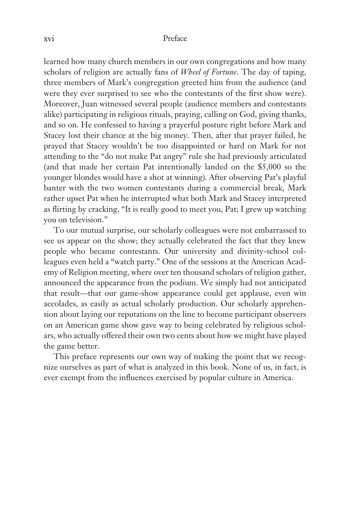learned how many church members in our own congregations and how many scholars of religion are actually fans of *Wheel of Fortune*. The day of taping, three members of Mark's congregation greeted him from the audience (and were they ever surprised to see who the contestants of the first show were). Moreover, Juan witnessed several people (audience members and contestants alike) participating in religious rituals, praying, calling on God, giving thanks, and so on. He confessed to having a prayerful posture right before Mark and Stacey lost their chance at the big money. Then, after that prayer failed, he prayed that Stacey wouldn't be too disappointed or hard on Mark for not attending to the "do not make Pat angry" rule she had previously articulated (and that made her certain Pat intentionally landed on the \$5,000 so the younger blondes would have a shot at winning). After observing Pat's playful banter with the two women contestants during a commercial break, Mark rather upset Pat when he interrupted what both Mark and Stacey interpreted as flirting by cracking, "It is really good to meet you, Pat; I grew up watching you on television."

To our mutual surprise, our scholarly colleagues were not embarrassed to see us appear on the show; they actually celebrated the fact that they knew people who became contestants. Our university and divinity-school colleagues even held a "watch party." One of the sessions at the American Academy of Religion meeting, where over ten thousand scholars of religion gather, announced the appearance from the podium. We simply had not anticipated that result—that our game-show appearance could get applause, even win accolades, as easily as actual scholarly production. Our scholarly apprehension about laying our reputations on the line to become participant observers on an American game show gave way to being celebrated by religious scholars, who actually offered their own two cents about how we might have played the game better.

This preface represents our own way of making the point that we recognize ourselves as part of what is analyzed in this book. None of us, in fact, is ever exempt from the influences exercised by popular culture in America.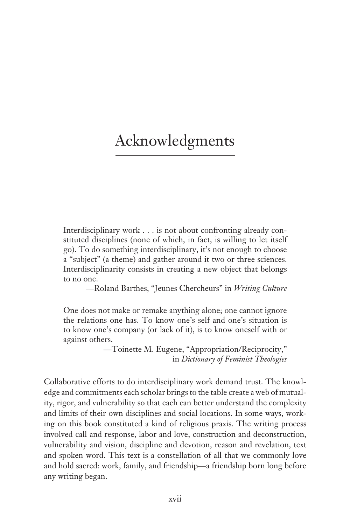## Acknowledgments

Interdisciplinary work . . . is not about confronting already constituted disciplines (none of which, in fact, is willing to let itself go). To do something interdisciplinary, it's not enough to choose a "subject" (a theme) and gather around it two or three sciences. Interdisciplinarity consists in creating a new object that belongs to no one.

—Roland Barthes, "Jeunes Chercheurs" in *Writing Culture*

One does not make or remake anything alone; one cannot ignore the relations one has. To know one's self and one's situation is to know one's company (or lack of it), is to know oneself with or against others.

> —Toinette M. Eugene, "Appropriation/Reciprocity," in *Dictionary of Feminist Theologies*

Collaborative efforts to do interdisciplinary work demand trust. The knowledge and commitments each scholar brings to the table create a web of mutuality, rigor, and vulnerability so that each can better understand the complexity and limits of their own disciplines and social locations. In some ways, working on this book constituted a kind of religious praxis. The writing process involved call and response, labor and love, construction and deconstruction, vulnerability and vision, discipline and devotion, reason and revelation, text and spoken word. This text is a constellation of all that we commonly love and hold sacred: work, family, and friendship—a friendship born long before any writing began.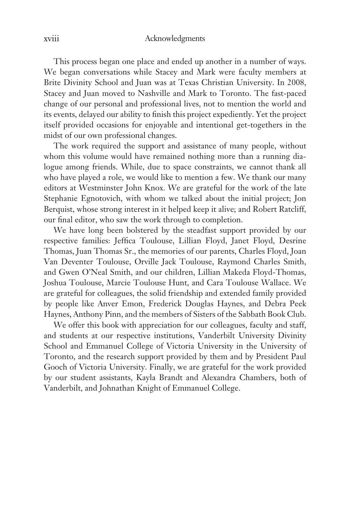This process began one place and ended up another in a number of ways. We began conversations while Stacey and Mark were faculty members at Brite Divinity School and Juan was at Texas Christian University. In 2008, Stacey and Juan moved to Nashville and Mark to Toronto. The fast-paced change of our personal and professional lives, not to mention the world and its events, delayed our ability to finish this project expediently. Yet the project itself provided occasions for enjoyable and intentional get-togethers in the midst of our own professional changes.

The work required the support and assistance of many people, without whom this volume would have remained nothing more than a running dialogue among friends. While, due to space constraints, we cannot thank all who have played a role, we would like to mention a few. We thank our many editors at Westminster John Knox. We are grateful for the work of the late Stephanie Egnotovich, with whom we talked about the initial project; Jon Berquist, whose strong interest in it helped keep it alive; and Robert Ratcliff, our final editor, who saw the work through to completion.

We have long been bolstered by the steadfast support provided by our respective families: Jeffica Toulouse, Lillian Floyd, Janet Floyd, Desrine Thomas, Juan Thomas Sr., the memories of our parents, Charles Floyd, Joan Van Deventer Toulouse, Orville Jack Toulouse, Raymond Charles Smith, and Gwen O'Neal Smith, and our children, Lillian Makeda Floyd-Thomas, Joshua Toulouse, Marcie Toulouse Hunt, and Cara Toulouse Wallace. We are grateful for colleagues, the solid friendship and extended family provided by people like Anver Emon, Frederick Douglas Haynes, and Debra Peek Haynes, Anthony Pinn, and the members of Sisters of the Sabbath Book Club.

We offer this book with appreciation for our colleagues, faculty and staff, and students at our respective institutions, Vanderbilt University Divinity School and Emmanuel College of Victoria University in the University of Toronto, and the research support provided by them and by President Paul Gooch of Victoria University. Finally, we are grateful for the work provided by our student assistants, Kayla Brandt and Alexandra Chambers, both of Vanderbilt, and Johnathan Knight of Emmanuel College.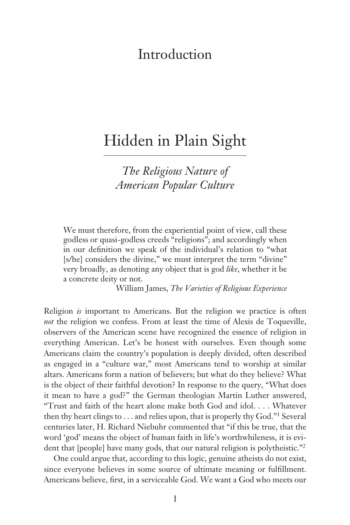## Hidden in Plain Sight

### *The Religious Nature of American Popular Culture*

We must therefore, from the experiential point of view, call these godless or quasi-godless creeds "religions"; and accordingly when in our definition we speak of the individual's relation to "what [s/he] considers the divine," we must interpret the term "divine" very broadly, as denoting any object that is god *like*, whether it be a concrete deity or not.

William James, *The Varieties of Religious Experience*

Religion *is* important to Americans. But the religion we practice is often *not* the religion we confess. From at least the time of Alexis de Toqueville, observers of the American scene have recognized the essence of religion in everything American. Let's be honest with ourselves. Even though some Americans claim the country's population is deeply divided, often described as engaged in a "culture war," most Americans tend to worship at similar altars. Americans form a nation of believers; but what do they believe? What is the object of their faithful devotion? In response to the query, "What does it mean to have a god?" the German theologian Martin Luther answered, "Trust and faith of the heart alone make both God and idol. . . . Whatever then thy heart clings to  $\dots$  and relies upon, that is properly thy God."<sup>1</sup> Several centuries later, H. Richard Niebuhr commented that "if this be true, that the word 'god' means the object of human faith in life's worthwhileness, it is evident that [people] have many gods, that our natural religion is polytheistic."2

One could argue that, according to this logic, genuine atheists do not exist, since everyone believes in some source of ultimate meaning or fulfillment. Americans believe, first, in a serviceable God. We want a God who meets our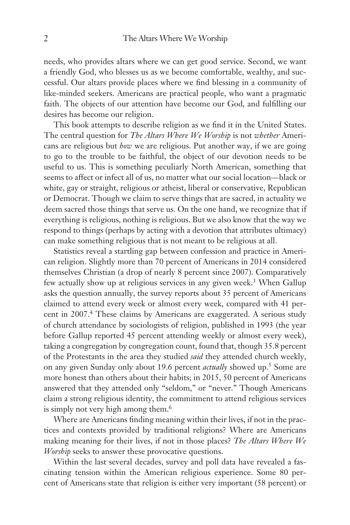needs, who provides altars where we can get good service. Second, we want a friendly God, who blesses us as we become comfortable, wealthy, and successful. Our altars provide places where we find blessing in a community of like-minded seekers. Americans are practical people, who want a pragmatic faith. The objects of our attention have become our God, and fulfilling our desires has become our religion.

This book attempts to describe religion as we find it in the United States. The central question for *The Altars Where We Worship* is not *whether* Americans are religious but *how* we are religious. Put another way, if we are going to go to the trouble to be faithful, the object of our devotion needs to be useful to us. This is something peculiarly North American, something that seems to affect or infect all of us, no matter what our social location—black or white, gay or straight, religious or atheist, liberal or conservative, Republican or Democrat. Though we claim to serve things that are sacred, in actuality we deem sacred those things that serve us. On the one hand, we recognize that if everything is religious, nothing is religious. But we also know that the way we respond to things (perhaps by acting with a devotion that attributes ultimacy) can make something religious that is not meant to be religious at all.

Statistics reveal a startling gap between confession and practice in American religion. Slightly more than 70 percent of Americans in 2014 considered themselves Christian (a drop of nearly 8 percent since 2007). Comparatively few actually show up at religious services in any given week.<sup>3</sup> When Gallup asks the question annually, the survey reports about 35 percent of Americans claimed to attend every week or almost every week, compared with 41 percent in 2007.4 These claims by Americans are exaggerated. A serious study of church attendance by sociologists of religion, published in 1993 (the year before Gallup reported 45 percent attending weekly or almost every week), taking a congregation by congregation count, found that, though 35.8 percent of the Protestants in the area they studied *said* they attended church weekly, on any given Sunday only about 19.6 percent *actually* showed up.5 Some are more honest than others about their habits; in 2015, 50 percent of Americans answered that they attended only "seldom," or "never." Though Americans claim a strong religious identity, the commitment to attend religious services is simply not very high among them.<sup>6</sup>

Where are Americans finding meaning within their lives, if not in the practices and contexts provided by traditional religions? Where are Americans making meaning for their lives, if not in those places? *The Altars Where We Worship* seeks to answer these provocative questions.

Within the last several decades, survey and poll data have revealed a fascinating tension within the American religious experience. Some 80 percent of Americans state that religion is either very important (58 percent) or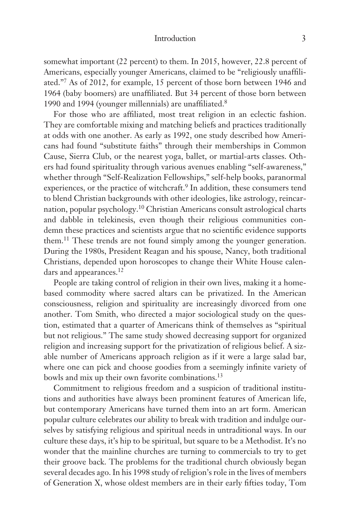somewhat important (22 percent) to them. In 2015, however, 22.8 percent of Americans, especially younger Americans, claimed to be "religiously unaffiliated."7 As of 2012, for example, 15 percent of those born between 1946 and 1964 (baby boomers) are unaffiliated. But 34 percent of those born between 1990 and 1994 (younger millennials) are unaffiliated.8

For those who are affiliated, most treat religion in an eclectic fashion. They are comfortable mixing and matching beliefs and practices traditionally at odds with one another. As early as 1992, one study described how Americans had found "substitute faiths" through their memberships in Common Cause, Sierra Club, or the nearest yoga, ballet, or martial-arts classes. Others had found spirituality through various avenues enabling "self-awareness," whether through "Self-Realization Fellowships," self-help books, paranormal experiences, or the practice of witchcraft.<sup>9</sup> In addition, these consumers tend to blend Christian backgrounds with other ideologies, like astrology, reincarnation, popular psychology.10 Christian Americans consult astrological charts and dabble in telekinesis, even though their religious communities condemn these practices and scientists argue that no scientific evidence supports them.11 These trends are not found simply among the younger generation. During the 1980s, President Reagan and his spouse, Nancy, both traditional Christians, depended upon horoscopes to change their White House calendars and appearances.<sup>12</sup>

People are taking control of religion in their own lives, making it a homebased commodity where sacred altars can be privatized. In the American consciousness, religion and spirituality are increasingly divorced from one another. Tom Smith, who directed a major sociological study on the question, estimated that a quarter of Americans think of themselves as "spiritual but not religious." The same study showed decreasing support for organized religion and increasing support for the privatization of religious belief. A sizable number of Americans approach religion as if it were a large salad bar, where one can pick and choose goodies from a seemingly infinite variety of bowls and mix up their own favorite combinations.<sup>13</sup>

Commitment to religious freedom and a suspicion of traditional institutions and authorities have always been prominent features of American life, but contemporary Americans have turned them into an art form. American popular culture celebrates our ability to break with tradition and indulge ourselves by satisfying religious and spiritual needs in untraditional ways. In our culture these days, it's hip to be spiritual, but square to be a Methodist. It's no wonder that the mainline churches are turning to commercials to try to get their groove back. The problems for the traditional church obviously began several decades ago. In his 1998 study of religion's role in the lives of members of Generation X, whose oldest members are in their early fifties today, Tom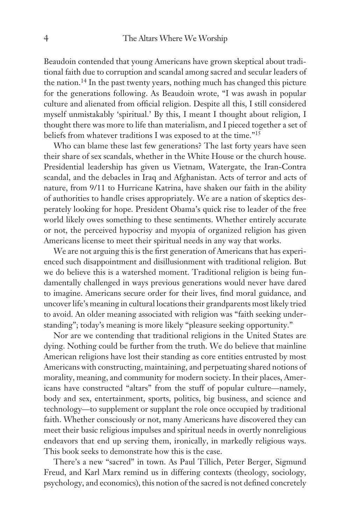Beaudoin contended that young Americans have grown skeptical about traditional faith due to corruption and scandal among sacred and secular leaders of the nation.14 In the past twenty years, nothing much has changed this picture for the generations following. As Beaudoin wrote, "I was awash in popular culture and alienated from official religion. Despite all this, I still considered myself unmistakably 'spiritual.' By this, I meant I thought about religion, I thought there was more to life than materialism, and I pieced together a set of beliefs from whatever traditions I was exposed to at the time."15

Who can blame these last few generations? The last forty years have seen their share of sex scandals, whether in the White House or the church house. Presidential leadership has given us Vietnam, Watergate, the Iran-Contra scandal, and the debacles in Iraq and Afghanistan. Acts of terror and acts of nature, from 9/11 to Hurricane Katrina, have shaken our faith in the ability of authorities to handle crises appropriately. We are a nation of skeptics desperately looking for hope. President Obama's quick rise to leader of the free world likely owes something to these sentiments. Whether entirely accurate or not, the perceived hypocrisy and myopia of organized religion has given Americans license to meet their spiritual needs in any way that works.

We are not arguing this is the first generation of Americans that has experienced such disappointment and disillusionment with traditional religion. But we do believe this is a watershed moment. Traditional religion is being fundamentally challenged in ways previous generations would never have dared to imagine. Americans secure order for their lives, find moral guidance, and uncover life's meaning in cultural locations their grandparents most likely tried to avoid. An older meaning associated with religion was "faith seeking understanding"; today's meaning is more likely "pleasure seeking opportunity."

Nor are we contending that traditional religions in the United States are dying. Nothing could be further from the truth. We do believe that mainline American religions have lost their standing as core entities entrusted by most Americans with constructing, maintaining, and perpetuating shared notions of morality, meaning, and community for modern society. In their places, Americans have constructed "altars" from the stuff of popular culture—namely, body and sex, entertainment, sports, politics, big business, and science and technology—to supplement or supplant the role once occupied by traditional faith. Whether consciously or not, many Americans have discovered they can meet their basic religious impulses and spiritual needs in overtly nonreligious endeavors that end up serving them, ironically, in markedly religious ways. This book seeks to demonstrate how this is the case.

There's a new "sacred" in town. As Paul Tillich, Peter Berger, Sigmund Freud, and Karl Marx remind us in differing contexts (theology, sociology, psychology, and economics), this notion of the sacred is not defined concretely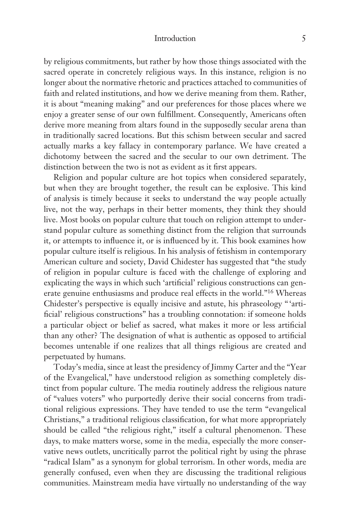by religious commitments, but rather by how those things associated with the sacred operate in concretely religious ways. In this instance, religion is no longer about the normative rhetoric and practices attached to communities of faith and related institutions, and how we derive meaning from them. Rather, it is about "meaning making" and our preferences for those places where we enjoy a greater sense of our own fulfillment. Consequently, Americans often derive more meaning from altars found in the supposedly secular arena than in traditionally sacred locations. But this schism between secular and sacred actually marks a key fallacy in contemporary parlance. We have created a dichotomy between the sacred and the secular to our own detriment. The distinction between the two is not as evident as it first appears.

Religion and popular culture are hot topics when considered separately, but when they are brought together, the result can be explosive. This kind of analysis is timely because it seeks to understand the way people actually live, not the way, perhaps in their better moments, they think they should live. Most books on popular culture that touch on religion attempt to understand popular culture as something distinct from the religion that surrounds it, or attempts to influence it, or is influenced by it. This book examines how popular culture itself is religious. In his analysis of fetishism in contemporary American culture and society, David Chidester has suggested that "the study of religion in popular culture is faced with the challenge of exploring and explicating the ways in which such 'artificial' religious constructions can generate genuine enthusiasms and produce real effects in the world."16 Whereas Chidester's perspective is equally incisive and astute, his phraseology " 'artificial' religious constructions" has a troubling connotation: if someone holds a particular object or belief as sacred, what makes it more or less artificial than any other? The designation of what is authentic as opposed to artificial becomes untenable if one realizes that all things religious are created and perpetuated by humans.

Today's media, since at least the presidency of Jimmy Carter and the "Year of the Evangelical," have understood religion as something completely distinct from popular culture. The media routinely address the religious nature of "values voters" who purportedly derive their social concerns from traditional religious expressions. They have tended to use the term "evangelical Christians," a traditional religious classification, for what more appropriately should be called "the religious right," itself a cultural phenomenon. These days, to make matters worse, some in the media, especially the more conservative news outlets, uncritically parrot the political right by using the phrase "radical Islam" as a synonym for global terrorism. In other words, media are generally confused, even when they are discussing the traditional religious communities. Mainstream media have virtually no understanding of the way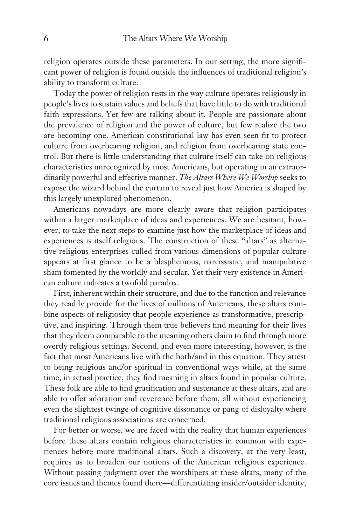religion operates outside these parameters. In our setting, the more significant power of religion is found outside the influences of traditional religion's ability to transform culture.

Today the power of religion rests in the way culture operates religiously in people's lives to sustain values and beliefs that have little to do with traditional faith expressions. Yet few are talking about it. People are passionate about the prevalence of religion and the power of culture, but few realize the two are becoming one. American constitutional law has even seen fit to protect culture from overbearing religion, and religion from overbearing state control. But there is little understanding that culture itself can take on religious characteristics unrecognized by most Americans, but operating in an extraordinarily powerful and effective manner. *The Altars Where We Worship* seeks to expose the wizard behind the curtain to reveal just how America is shaped by this largely unexplored phenomenon.

Americans nowadays are more clearly aware that religion participates within a larger marketplace of ideas and experiences. We are hesitant, however, to take the next steps to examine just how the marketplace of ideas and experiences is itself religious. The construction of these "altars" as alternative religious enterprises culled from various dimensions of popular culture appears at first glance to be a blasphemous, narcissistic, and manipulative sham fomented by the worldly and secular. Yet their very existence in American culture indicates a twofold paradox.

First, inherent within their structure, and due to the function and relevance they readily provide for the lives of millions of Americans, these altars combine aspects of religiosity that people experience as transformative, prescriptive, and inspiring. Through them true believers find meaning for their lives that they deem comparable to the meaning others claim to find through more overtly religious settings. Second, and even more interesting, however, is the fact that most Americans live with the both/and in this equation. They attest to being religious and/or spiritual in conventional ways while, at the same time, in actual practice, they find meaning in altars found in popular culture. These folk are able to find gratification and sustenance at these altars, and are able to offer adoration and reverence before them, all without experiencing even the slightest twinge of cognitive dissonance or pang of disloyalty where traditional religious associations are concerned.

For better or worse, we are faced with the reality that human experiences before these altars contain religious characteristics in common with experiences before more traditional altars. Such a discovery, at the very least, requires us to broaden our notions of the American religious experience. Without passing judgment over the worshipers at these altars, many of the core issues and themes found there—differentiating insider/outsider identity,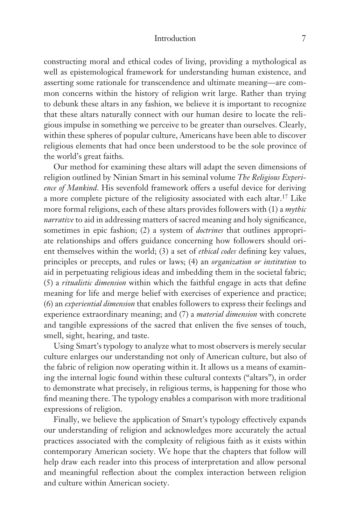constructing moral and ethical codes of living, providing a mythological as well as epistemological framework for understanding human existence, and asserting some rationale for transcendence and ultimate meaning—are common concerns within the history of religion writ large. Rather than trying to debunk these altars in any fashion, we believe it is important to recognize that these altars naturally connect with our human desire to locate the religious impulse in something we perceive to be greater than ourselves. Clearly, within these spheres of popular culture, Americans have been able to discover religious elements that had once been understood to be the sole province of the world's great faiths.

Our method for examining these altars will adapt the seven dimensions of religion outlined by Ninian Smart in his seminal volume *The Religious Experience of Mankind*. His sevenfold framework offers a useful device for deriving a more complete picture of the religiosity associated with each altar.17 Like more formal religions, each of these altars provides followers with (1) a *mythic narrative* to aid in addressing matters of sacred meaning and holy significance, sometimes in epic fashion; (2) a system of *doctrines* that outlines appropriate relationships and offers guidance concerning how followers should orient themselves within the world; (3) a set of *ethical codes* defining key values, principles or precepts, and rules or laws; (4) an *organization or institution* to aid in perpetuating religious ideas and imbedding them in the societal fabric; (5) a *ritualistic dimension* within which the faithful engage in acts that define meaning for life and merge belief with exercises of experience and practice; (6) an *experiential dimension* that enables followers to express their feelings and experience extraordinary meaning; and (7) a *material dimension* with concrete and tangible expressions of the sacred that enliven the five senses of touch, smell, sight, hearing, and taste.

Using Smart's typology to analyze what to most observers is merely secular culture enlarges our understanding not only of American culture, but also of the fabric of religion now operating within it. It allows us a means of examining the internal logic found within these cultural contexts ("altars"), in order to demonstrate what precisely, in religious terms, is happening for those who find meaning there. The typology enables a comparison with more traditional expressions of religion.

Finally, we believe the application of Smart's typology effectively expands our understanding of religion and acknowledges more accurately the actual practices associated with the complexity of religious faith as it exists within contemporary American society. We hope that the chapters that follow will help draw each reader into this process of interpretation and allow personal and meaningful reflection about the complex interaction between religion and culture within American society.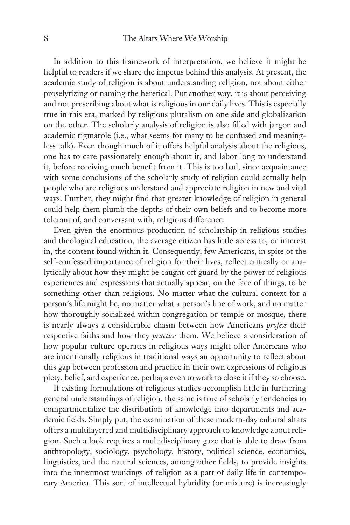In addition to this framework of interpretation, we believe it might be helpful to readers if we share the impetus behind this analysis. At present, the academic study of religion is about understanding religion, not about either proselytizing or naming the heretical. Put another way, it is about perceiving and not prescribing about what is religious in our daily lives. This is especially true in this era, marked by religious pluralism on one side and globalization on the other. The scholarly analysis of religion is also filled with jargon and academic rigmarole (i.e., what seems for many to be confused and meaningless talk). Even though much of it offers helpful analysis about the religious, one has to care passionately enough about it, and labor long to understand it, before receiving much benefit from it. This is too bad, since acquaintance with some conclusions of the scholarly study of religion could actually help people who are religious understand and appreciate religion in new and vital ways. Further, they might find that greater knowledge of religion in general could help them plumb the depths of their own beliefs and to become more tolerant of, and conversant with, religious difference.

Even given the enormous production of scholarship in religious studies and theological education, the average citizen has little access to, or interest in, the content found within it. Consequently, few Americans, in spite of the self-confessed importance of religion for their lives, reflect critically or analytically about how they might be caught off guard by the power of religious experiences and expressions that actually appear, on the face of things, to be something other than religious. No matter what the cultural context for a person's life might be, no matter what a person's line of work, and no matter how thoroughly socialized within congregation or temple or mosque, there is nearly always a considerable chasm between how Americans *profess* their respective faiths and how they *practice* them. We believe a consideration of how popular culture operates in religious ways might offer Americans who are intentionally religious in traditional ways an opportunity to reflect about this gap between profession and practice in their own expressions of religious piety, belief, and experience, perhaps even to work to close it if they so choose.

If existing formulations of religious studies accomplish little in furthering general understandings of religion, the same is true of scholarly tendencies to compartmentalize the distribution of knowledge into departments and academic fields. Simply put, the examination of these modern-day cultural altars offers a multilayered and multidisciplinary approach to knowledge about religion. Such a look requires a multidisciplinary gaze that is able to draw from anthropology, sociology, psychology, history, political science, economics, linguistics, and the natural sciences, among other fields, to provide insights into the innermost workings of religion as a part of daily life in contemporary America. This sort of intellectual hybridity (or mixture) is increasingly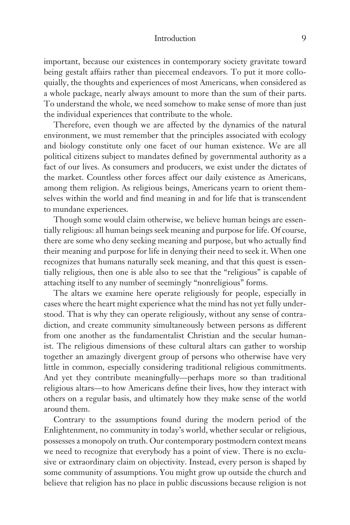important, because our existences in contemporary society gravitate toward being gestalt affairs rather than piecemeal endeavors. To put it more colloquially, the thoughts and experiences of most Americans, when considered as a whole package, nearly always amount to more than the sum of their parts. To understand the whole, we need somehow to make sense of more than just the individual experiences that contribute to the whole.

Therefore, even though we are affected by the dynamics of the natural environment, we must remember that the principles associated with ecology and biology constitute only one facet of our human existence. We are all political citizens subject to mandates defined by governmental authority as a fact of our lives. As consumers and producers, we exist under the dictates of the market. Countless other forces affect our daily existence as Americans, among them religion. As religious beings, Americans yearn to orient themselves within the world and find meaning in and for life that is transcendent to mundane experiences.

Though some would claim otherwise, we believe human beings are essentially religious: all human beings seek meaning and purpose for life. Of course, there are some who deny seeking meaning and purpose, but who actually find their meaning and purpose for life in denying their need to seek it. When one recognizes that humans naturally seek meaning, and that this quest is essentially religious, then one is able also to see that the "religious" is capable of attaching itself to any number of seemingly "nonreligious" forms.

The altars we examine here operate religiously for people, especially in cases where the heart might experience what the mind has not yet fully understood. That is why they can operate religiously, without any sense of contradiction, and create community simultaneously between persons as different from one another as the fundamentalist Christian and the secular humanist. The religious dimensions of these cultural altars can gather to worship together an amazingly divergent group of persons who otherwise have very little in common, especially considering traditional religious commitments. And yet they contribute meaningfully—perhaps more so than traditional religious altars—to how Americans define their lives, how they interact with others on a regular basis, and ultimately how they make sense of the world around them.

Contrary to the assumptions found during the modern period of the Enlightenment, no community in today's world, whether secular or religious, possesses a monopoly on truth. Our contemporary postmodern context means we need to recognize that everybody has a point of view. There is no exclusive or extraordinary claim on objectivity. Instead, every person is shaped by some community of assumptions. You might grow up outside the church and believe that religion has no place in public discussions because religion is not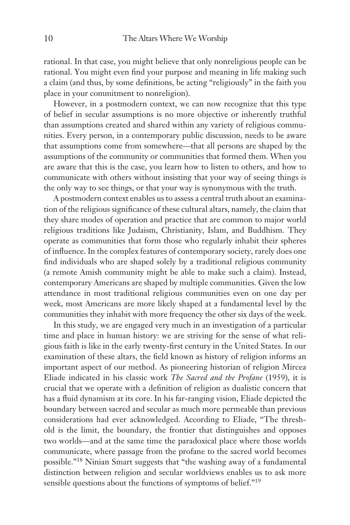rational. In that case, you might believe that only nonreligious people can be rational. You might even find your purpose and meaning in life making such a claim (and thus, by some definitions, be acting "religiously" in the faith you place in your commitment to nonreligion).

However, in a postmodern context, we can now recognize that this type of belief in secular assumptions is no more objective or inherently truthful than assumptions created and shared within any variety of religious communities. Every person, in a contemporary public discussion, needs to be aware that assumptions come from somewhere—that all persons are shaped by the assumptions of the community or communities that formed them. When you are aware that this is the case, you learn how to listen to others, and how to communicate with others without insisting that your way of seeing things is the only way to see things, or that your way is synonymous with the truth.

A postmodern context enables us to assess a central truth about an examination of the religious significance of these cultural altars, namely, the claim that they share modes of operation and practice that are common to major world religious traditions like Judaism, Christianity, Islam, and Buddhism. They operate as communities that form those who regularly inhabit their spheres of influence. In the complex features of contemporary society, rarely does one find individuals who are shaped solely by a traditional religious community (a remote Amish community might be able to make such a claim). Instead, contemporary Americans are shaped by multiple communities. Given the low attendance in most traditional religious communities even on one day per week, most Americans are more likely shaped at a fundamental level by the communities they inhabit with more frequency the other six days of the week.

In this study, we are engaged very much in an investigation of a particular time and place in human history: we are striving for the sense of what religious faith is like in the early twenty-first century in the United States. In our examination of these altars, the field known as history of religion informs an important aspect of our method. As pioneering historian of religion Mircea Eliade indicated in his classic work *The Sacred and the Profane* (1959), it is crucial that we operate with a definition of religion as dualistic concern that has a fluid dynamism at its core. In his far-ranging vision, Eliade depicted the boundary between sacred and secular as much more permeable than previous considerations had ever acknowledged. According to Eliade, "The threshold is the limit, the boundary, the frontier that distinguishes and opposes two worlds—and at the same time the paradoxical place where those worlds communicate, where passage from the profane to the sacred world becomes possible."18 Ninian Smart suggests that "the washing away of a fundamental distinction between religion and secular worldviews enables us to ask more sensible questions about the functions of symptoms of belief."19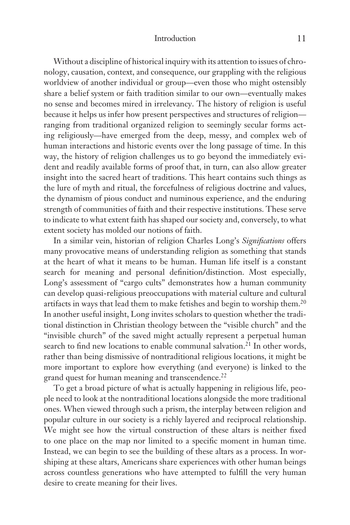Without a discipline of historical inquiry with its attention to issues of chronology, causation, context, and consequence, our grappling with the religious worldview of another individual or group—even those who might ostensibly share a belief system or faith tradition similar to our own—eventually makes no sense and becomes mired in irrelevancy. The history of religion is useful because it helps us infer how present perspectives and structures of religion ranging from traditional organized religion to seemingly secular forms acting religiously—have emerged from the deep, messy, and complex web of human interactions and historic events over the long passage of time. In this way, the history of religion challenges us to go beyond the immediately evident and readily available forms of proof that, in turn, can also allow greater insight into the sacred heart of traditions. This heart contains such things as the lure of myth and ritual, the forcefulness of religious doctrine and values, the dynamism of pious conduct and numinous experience, and the enduring strength of communities of faith and their respective institutions. These serve to indicate to what extent faith has shaped our society and, conversely, to what extent society has molded our notions of faith.

In a similar vein, historian of religion Charles Long's *Significations* offers many provocative means of understanding religion as something that stands at the heart of what it means to be human. Human life itself is a constant search for meaning and personal definition/distinction. Most especially, Long's assessment of "cargo cults" demonstrates how a human community can develop quasi-religious preoccupations with material culture and cultural artifacts in ways that lead them to make fetishes and begin to worship them.20 In another useful insight, Long invites scholars to question whether the traditional distinction in Christian theology between the "visible church" and the "invisible church" of the saved might actually represent a perpetual human search to find new locations to enable communal salvation.<sup>21</sup> In other words, rather than being dismissive of nontraditional religious locations, it might be more important to explore how everything (and everyone) is linked to the grand quest for human meaning and transcendence.<sup>22</sup>

To get a broad picture of what is actually happening in religious life, people need to look at the nontraditional locations alongside the more traditional ones. When viewed through such a prism, the interplay between religion and popular culture in our society is a richly layered and reciprocal relationship. We might see how the virtual construction of these altars is neither fixed to one place on the map nor limited to a specific moment in human time. Instead, we can begin to see the building of these altars as a process. In worshiping at these altars, Americans share experiences with other human beings across countless generations who have attempted to fulfill the very human desire to create meaning for their lives.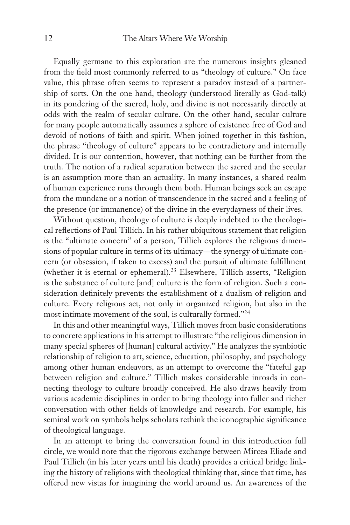Equally germane to this exploration are the numerous insights gleaned from the field most commonly referred to as "theology of culture." On face value, this phrase often seems to represent a paradox instead of a partnership of sorts. On the one hand, theology (understood literally as God-talk) in its pondering of the sacred, holy, and divine is not necessarily directly at odds with the realm of secular culture. On the other hand, secular culture for many people automatically assumes a sphere of existence free of God and devoid of notions of faith and spirit. When joined together in this fashion, the phrase "theology of culture" appears to be contradictory and internally divided. It is our contention, however, that nothing can be further from the truth. The notion of a radical separation between the sacred and the secular is an assumption more than an actuality. In many instances, a shared realm of human experience runs through them both. Human beings seek an escape from the mundane or a notion of transcendence in the sacred and a feeling of the presence (or immanence) of the divine in the everydayness of their lives.

Without question, theology of culture is deeply indebted to the theological reflections of Paul Tillich. In his rather ubiquitous statement that religion is the "ultimate concern" of a person, Tillich explores the religious dimensions of popular culture in terms of its ultimacy—the synergy of ultimate concern (or obsession, if taken to excess) and the pursuit of ultimate fulfillment (whether it is eternal or ephemeral).23 Elsewhere, Tillich asserts, "Religion is the substance of culture [and] culture is the form of religion. Such a consideration definitely prevents the establishment of a dualism of religion and culture. Every religious act, not only in organized religion, but also in the most intimate movement of the soul, is culturally formed."24

In this and other meaningful ways, Tillich moves from basic considerations to concrete applications in his attempt to illustrate "the religious dimension in many special spheres of [human] cultural activity." He analyzes the symbiotic relationship of religion to art, science, education, philosophy, and psychology among other human endeavors, as an attempt to overcome the "fateful gap between religion and culture." Tillich makes considerable inroads in connecting theology to culture broadly conceived. He also draws heavily from various academic disciplines in order to bring theology into fuller and richer conversation with other fields of knowledge and research. For example, his seminal work on symbols helps scholars rethink the iconographic significance of theological language.

In an attempt to bring the conversation found in this introduction full circle, we would note that the rigorous exchange between Mircea Eliade and Paul Tillich (in his later years until his death) provides a critical bridge linking the history of religions with theological thinking that, since that time, has offered new vistas for imagining the world around us. An awareness of the